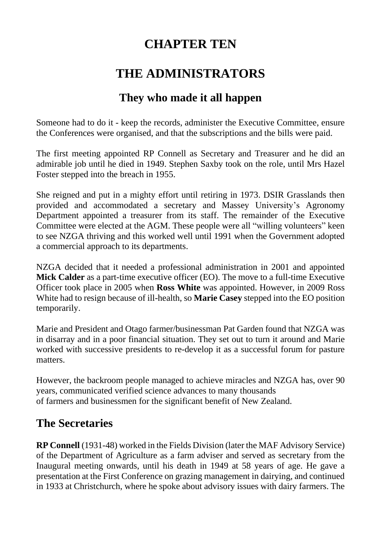# **CHAPTER TEN**

# **THE ADMINISTRATORS**

## **They who made it all happen**

Someone had to do it - keep the records, administer the Executive Committee, ensure the Conferences were organised, and that the subscriptions and the bills were paid.

The first meeting appointed RP Connell as Secretary and Treasurer and he did an admirable job until he died in 1949. Stephen Saxby took on the role, until Mrs Hazel Foster stepped into the breach in 1955.

She reigned and put in a mighty effort until retiring in 1973. DSIR Grasslands then provided and accommodated a secretary and Massey University's Agronomy Department appointed a treasurer from its staff. The remainder of the Executive Committee were elected at the AGM. These people were all "willing volunteers" keen to see NZGA thriving and this worked well until 1991 when the Government adopted a commercial approach to its departments.

NZGA decided that it needed a professional administration in 2001 and appointed **Mick Calder** as a part-time executive officer (EO). The move to a full-time Executive Officer took place in 2005 when **Ross White** was appointed. However, in 2009 Ross White had to resign because of ill-health, so **Marie Casey** stepped into the EO position temporarily.

Marie and President and Otago farmer/businessman Pat Garden found that NZGA was in disarray and in a poor financial situation. They set out to turn it around and Marie worked with successive presidents to re-develop it as a successful forum for pasture matters.

However, the backroom people managed to achieve miracles and NZGA has, over 90 years, communicated verified science advances to many thousands of farmers and businessmen for the significant benefit of New Zealand.

### **The Secretaries**

**RP Connell** (1931-48) worked in the Fields Division (later the MAF Advisory Service) of the Department of Agriculture as a farm adviser and served as secretary from the Inaugural meeting onwards, until his death in 1949 at 58 years of age. He gave a presentation at the First Conference on grazing management in dairying, and continued in 1933 at Christchurch, where he spoke about advisory issues with dairy farmers. The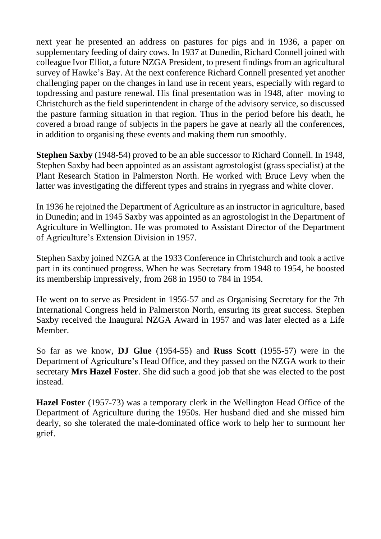next year he presented an address on pastures for pigs and in 1936, a paper on supplementary feeding of dairy cows. In 1937 at Dunedin, Richard Connell joined with colleague Ivor Elliot, a future NZGA President, to present findings from an agricultural survey of Hawke's Bay. At the next conference Richard Connell presented yet another challenging paper on the changes in land use in recent years, especially with regard to topdressing and pasture renewal. His final presentation was in 1948, after moving to Christchurch as the field superintendent in charge of the advisory service, so discussed the pasture farming situation in that region. Thus in the period before his death, he covered a broad range of subjects in the papers he gave at nearly all the conferences, in addition to organising these events and making them run smoothly.

**Stephen Saxby** (1948-54) proved to be an able successor to Richard Connell. In 1948, Stephen Saxby had been appointed as an assistant agrostologist (grass specialist) at the Plant Research Station in Palmerston North. He worked with Bruce Levy when the latter was investigating the different types and strains in ryegrass and white clover.

In 1936 he rejoined the Department of Agriculture as an instructor in agriculture, based in Dunedin; and in 1945 Saxby was appointed as an agrostologist in the Department of Agriculture in Wellington. He was promoted to Assistant Director of the Department of Agriculture's Extension Division in 1957.

Stephen Saxby joined NZGA at the 1933 Conference in Christchurch and took a active part in its continued progress. When he was Secretary from 1948 to 1954, he boosted its membership impressively, from 268 in 1950 to 784 in 1954.

He went on to serve as President in 1956-57 and as Organising Secretary for the 7th International Congress held in Palmerston North, ensuring its great success. Stephen Saxby received the Inaugural NZGA Award in 1957 and was later elected as a Life Member.

So far as we know, **DJ Glue** (1954-55) and **Russ Scott** (1955-57) were in the Department of Agriculture's Head Office, and they passed on the NZGA work to their secretary **Mrs Hazel Foster**. She did such a good job that she was elected to the post instead.

**Hazel Foster** (1957-73) was a temporary clerk in the Wellington Head Office of the Department of Agriculture during the 1950s. Her husband died and she missed him dearly, so she tolerated the male-dominated office work to help her to surmount her grief.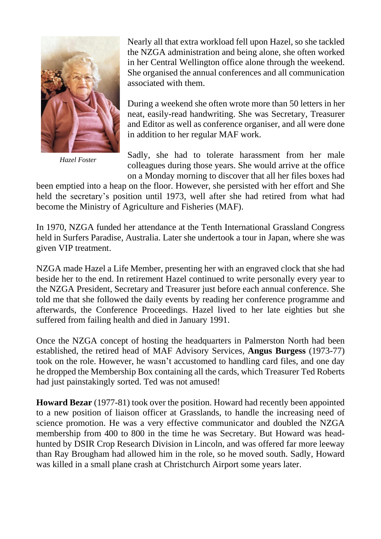

*Hazel Foster*

Nearly all that extra workload fell upon Hazel, so she tackled the NZGA administration and being alone, she often worked in her Central Wellington office alone through the weekend. She organised the annual conferences and all communication associated with them.

During a weekend she often wrote more than 50 letters in her neat, easily-read handwriting. She was Secretary, Treasurer and Editor as well as conference organiser, and all were done in addition to her regular MAF work.

Sadly, she had to tolerate harassment from her male colleagues during those years. She would arrive at the office on a Monday morning to discover that all her files boxes had

been emptied into a heap on the floor. However, she persisted with her effort and She held the secretary's position until 1973, well after she had retired from what had become the Ministry of Agriculture and Fisheries (MAF).

In 1970, NZGA funded her attendance at the Tenth International Grassland Congress held in Surfers Paradise, Australia. Later she undertook a tour in Japan, where she was given VIP treatment.

NZGA made Hazel a Life Member, presenting her with an engraved clock that she had beside her to the end. In retirement Hazel continued to write personally every year to the NZGA President, Secretary and Treasurer just before each annual conference. She told me that she followed the daily events by reading her conference programme and afterwards, the Conference Proceedings. Hazel lived to her late eighties but she suffered from failing health and died in January 1991.

Once the NZGA concept of hosting the headquarters in Palmerston North had been established, the retired head of MAF Advisory Services, **Angus Burgess** (1973-77) took on the role. However, he wasn't accustomed to handling card files, and one day he dropped the Membership Box containing all the cards, which Treasurer Ted Roberts had just painstakingly sorted. Ted was not amused!

**Howard Bezar** (1977-81) took over the position. Howard had recently been appointed to a new position of liaison officer at Grasslands, to handle the increasing need of science promotion. He was a very effective communicator and doubled the NZGA membership from 400 to 800 in the time he was Secretary. But Howard was headhunted by DSIR Crop Research Division in Lincoln, and was offered far more leeway than Ray Brougham had allowed him in the role, so he moved south. Sadly, Howard was killed in a small plane crash at Christchurch Airport some years later.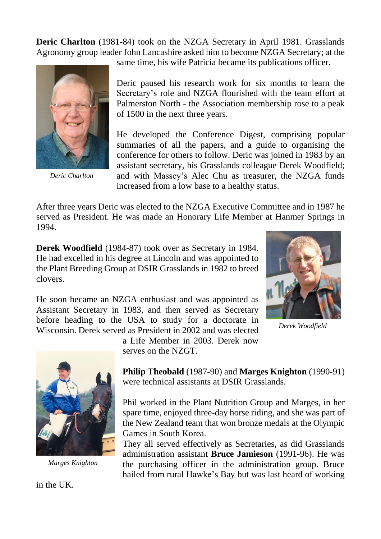**Deric Charlton** (1981-84) took on the NZGA Secretary in April 1981. Grasslands Agronomy group leader John Lancashire asked him to become NZGA Secretary; at the



*Deric Charlton*

same time, his wife Patricia became its publications officer.

Deric paused his research work for six months to learn the Secretary's role and NZGA flourished with the team effort at Palmerston North - the Association membership rose to a peak of 1500 in the next three years.

He developed the Conference Digest, comprising popular summaries of all the papers, and a guide to organising the conference for others to follow. Deric was joined in 1983 by an assistant secretary, his Grasslands colleague Derek Woodfield; and with Massey's Alec Chu as treasurer, the NZGA funds increased from a low base to a healthy status.

After three years Deric was elected to the NZGA Executive Committee and in 1987 he served as President. He was made an Honorary Life Member at Hanmer Springs in 1994.

**Derek Woodfield** (1984-87) took over as Secretary in 1984. He had excelled in his degree at Lincoln and was appointed to the Plant Breeding Group at DSIR Grasslands in 1982 to breed clovers.

He soon became an NZGA enthusiast and was appointed as Assistant Secretary in 1983, and then served as Secretary before heading to the USA to study for a doctorate in Wisconsin. Derek served as President in 2002 and was elected



*Derek Woodfield*



*Marges Knighton*

a Life Member in 2003. Derek now serves on the NZGT.

**Philip Theobald** (1987-90) and **Marges Knighton** (1990-91) were technical assistants at DSIR Grasslands.

Phil worked in the Plant Nutrition Group and Marges, in her spare time, enjoyed three-day horse riding, and she was part of the New Zealand team that won bronze medals at the Olympic Games in South Korea.

They all served effectively as Secretaries, as did Grasslands administration assistant **Bruce Jamieson** (1991-96). He was the purchasing officer in the administration group. Bruce hailed from rural Hawke's Bay but was last heard of working

in the UK.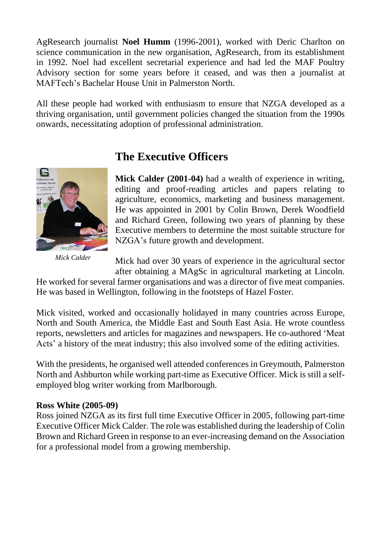AgResearch journalist **Noel Humm** (1996-2001), worked with Deric Charlton on science communication in the new organisation, AgResearch, from its establishment in 1992. Noel had excellent secretarial experience and had led the MAF Poultry Advisory section for some years before it ceased, and was then a journalist at MAFTech's Bachelar House Unit in Palmerston North.

All these people had worked with enthusiasm to ensure that NZGA developed as a thriving organisation, until government policies changed the situation from the 1990s onwards, necessitating adoption of professional administration.



*Mick Calder*

## **The Executive Officers**

**Mick Calder (2001-04)** had a wealth of experience in writing, editing and proof-reading articles and papers relating to agriculture, economics, marketing and business management. He was appointed in 2001 by Colin Brown, Derek Woodfield and Richard Green, following two years of planning by these Executive members to determine the most suitable structure for NZGA's future growth and development.

Mick had over 30 years of experience in the agricultural sector after obtaining a MAgSc in agricultural marketing at Lincoln.

He worked for several farmer organisations and was a director of five meat companies. He was based in Wellington, following in the footsteps of Hazel Foster.

Mick visited, worked and occasionally holidayed in many countries across Europe, North and South America, the Middle East and South East Asia. He wrote countless reports, newsletters and articles for magazines and newspapers. He co-authored 'Meat Acts' a history of the meat industry; this also involved some of the editing activities.

With the presidents, he organised well attended conferences in Greymouth, Palmerston North and Ashburton while working part-time as Executive Officer. Mick is still a selfemployed blog writer working from Marlborough.

#### **Ross White (2005-09)**

Ross joined NZGA as its first full time Executive Officer in 2005, following part-time Executive Officer Mick Calder. The role was established during the leadership of Colin Brown and Richard Green in response to an ever-increasing demand on the Association for a professional model from a growing membership.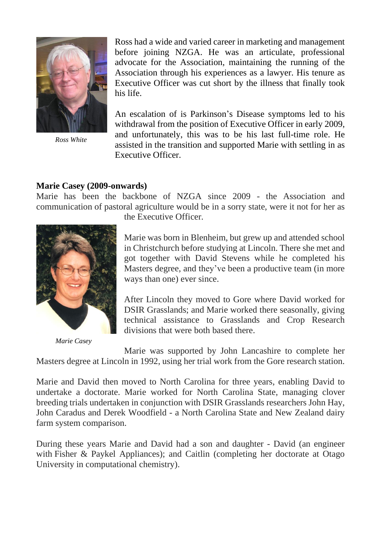

*Ross White*

Ross had a wide and varied career in marketing and management before joining NZGA. He was an articulate, professional advocate for the Association, maintaining the running of the Association through his experiences as a lawyer. His tenure as Executive Officer was cut short by the illness that finally took his life.

An escalation of is Parkinson's Disease symptoms led to his withdrawal from the position of Executive Officer in early 2009, and unfortunately, this was to be his last full-time role. He assisted in the transition and supported Marie with settling in as Executive Officer.

#### **Marie Casey (2009-onwards)**

Marie has been the backbone of NZGA since 2009 - the Association and communication of pastoral agriculture would be in a sorry state, were it not for her as



*Marie Casey*

the Executive Officer.

Marie was born in Blenheim, but grew up and attended school in Christchurch before studying at Lincoln. There she met and got together with David Stevens while he completed his Masters degree, and they've been a productive team (in more ways than one) ever since.

After Lincoln they moved to Gore where David worked for DSIR Grasslands; and Marie worked there seasonally, giving technical assistance to Grasslands and Crop Research divisions that were both based there.

Marie was supported by John Lancashire to complete her Masters degree at Lincoln in 1992, using her trial work from the Gore research station.

Marie and David then moved to North Carolina for three years, enabling David to undertake a doctorate. Marie worked for North Carolina State, managing clover breeding trials undertaken in conjunction with DSIR Grasslands researchers John Hay, John Caradus and Derek Woodfield - a North Carolina State and New Zealand dairy farm system comparison.

During these years Marie and David had a son and daughter - David (an engineer with Fisher & Paykel Appliances); and Caitlin (completing her doctorate at Otago University in computational chemistry).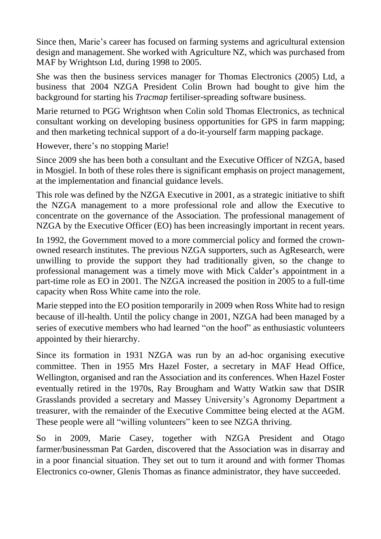Since then, Marie's career has focused on farming systems and agricultural extension design and management. She worked with Agriculture NZ, which was purchased from MAF by Wrightson Ltd, during 1998 to 2005.

She was then the business services manager for Thomas Electronics (2005) Ltd, a business that 2004 NZGA President Colin Brown had bought to give him the background for starting his *Tracmap* fertiliser-spreading software business.

Marie returned to PGG Wrightson when Colin sold Thomas Electronics, as technical consultant working on developing business opportunities for GPS in farm mapping; and then marketing technical support of a do-it-yourself farm mapping package.

However, there's no stopping Marie!

Since 2009 she has been both a consultant and the Executive Officer of NZGA, based in Mosgiel. In both of these roles there is significant emphasis on project management, at the implementation and financial guidance levels.

This role was defined by the NZGA Executive in 2001, as a strategic initiative to shift the NZGA management to a more professional role and allow the Executive to concentrate on the governance of the Association. The professional management of NZGA by the Executive Officer (EO) has been increasingly important in recent years.

In 1992, the Government moved to a more commercial policy and formed the crownowned research institutes. The previous NZGA supporters, such as AgResearch, were unwilling to provide the support they had traditionally given, so the change to professional management was a timely move with Mick Calder's appointment in a part-time role as EO in 2001. The NZGA increased the position in 2005 to a full-time capacity when Ross White came into the role.

Marie stepped into the EO position temporarily in 2009 when Ross White had to resign because of ill-health. Until the policy change in 2001, NZGA had been managed by a series of executive members who had learned "on the hoof" as enthusiastic volunteers appointed by their hierarchy.

Since its formation in 1931 NZGA was run by an ad-hoc organising executive committee. Then in 1955 Mrs Hazel Foster, a secretary in MAF Head Office, Wellington, organised and ran the Association and its conferences. When Hazel Foster eventually retired in the 1970s, Ray Brougham and Watty Watkin saw that DSIR Grasslands provided a secretary and Massey University's Agronomy Department a treasurer, with the remainder of the Executive Committee being elected at the AGM. These people were all "willing volunteers" keen to see NZGA thriving.

So in 2009, Marie Casey, together with NZGA President and Otago farmer/businessman Pat Garden, discovered that the Association was in disarray and in a poor financial situation. They set out to turn it around and with former Thomas Electronics co-owner, Glenis Thomas as finance administrator, they have succeeded.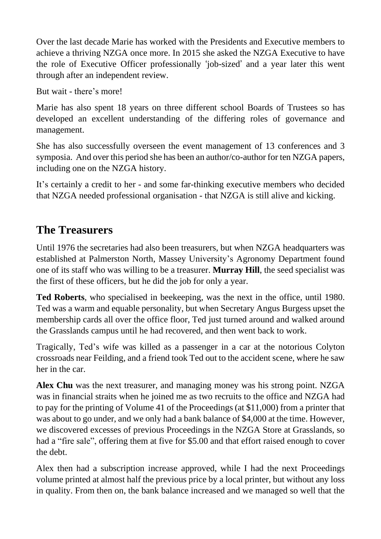Over the last decade Marie has worked with the Presidents and Executive members to achieve a thriving NZGA once more. In 2015 she asked the NZGA Executive to have the role of Executive Officer professionally 'job-sized' and a year later this went through after an independent review.

But wait - there's more!

Marie has also spent 18 years on three different school Boards of Trustees so has developed an excellent understanding of the differing roles of governance and management.

She has also successfully overseen the event management of 13 conferences and 3 symposia. And over this period she has been an author/co-author for ten NZGA papers, including one on the NZGA history.

It's certainly a credit to her - and some far-thinking executive members who decided that NZGA needed professional organisation - that NZGA is still alive and kicking.

## **The Treasurers**

Until 1976 the secretaries had also been treasurers, but when NZGA headquarters was established at Palmerston North, Massey University's Agronomy Department found one of its staff who was willing to be a treasurer. **Murray Hill**, the seed specialist was the first of these officers, but he did the job for only a year.

**Ted Roberts**, who specialised in beekeeping, was the next in the office, until 1980. Ted was a warm and equable personality, but when Secretary Angus Burgess upset the membership cards all over the office floor, Ted just turned around and walked around the Grasslands campus until he had recovered, and then went back to work.

Tragically, Ted's wife was killed as a passenger in a car at the notorious Colyton crossroads near Feilding, and a friend took Ted out to the accident scene, where he saw her in the car.

**Alex Chu** was the next treasurer, and managing money was his strong point. NZGA was in financial straits when he joined me as two recruits to the office and NZGA had to pay for the printing of Volume 41 of the Proceedings (at \$11,000) from a printer that was about to go under, and we only had a bank balance of \$4,000 at the time. However, we discovered excesses of previous Proceedings in the NZGA Store at Grasslands, so had a "fire sale", offering them at five for \$5.00 and that effort raised enough to cover the debt.

Alex then had a subscription increase approved, while I had the next Proceedings volume printed at almost half the previous price by a local printer, but without any loss in quality. From then on, the bank balance increased and we managed so well that the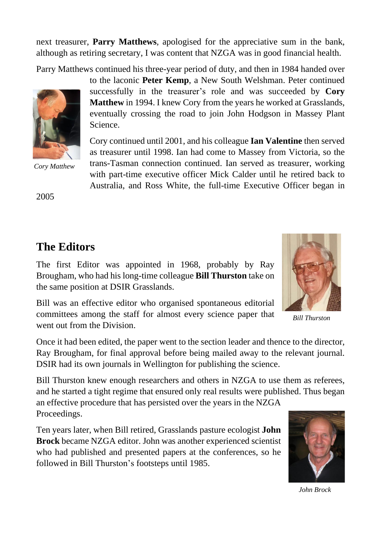next treasurer, **Parry Matthews**, apologised for the appreciative sum in the bank, although as retiring secretary, I was content that NZGA was in good financial health.

Parry Matthews continued his three-year period of duty, and then in 1984 handed over



*Cory Matthew*

to the laconic **Peter Kemp**, a New South Welshman. Peter continued successfully in the treasurer's role and was succeeded by **Cory Matthew** in 1994. I knew Cory from the years he worked at Grasslands, eventually crossing the road to join John Hodgson in Massey Plant Science.

Cory continued until 2001, and his colleague **Ian Valentine** then served as treasurer until 1998. Ian had come to Massey from Victoria, so the trans-Tasman connection continued. Ian served as treasurer, working with part-time executive officer Mick Calder until he retired back to Australia, and Ross White, the full-time Executive Officer began in

2005

## **The Editors**

The first Editor was appointed in 1968, probably by Ray Brougham, who had his long-time colleague **Bill Thurston** take on the same position at DSIR Grasslands.

Bill was an effective editor who organised spontaneous editorial committees among the staff for almost every science paper that went out from the Division.

Once it had been edited, the paper went to the section leader and thence to the director, Ray Brougham, for final approval before being mailed away to the relevant journal. DSIR had its own journals in Wellington for publishing the science.

Bill Thurston knew enough researchers and others in NZGA to use them as referees, and he started a tight regime that ensured only real results were published. Thus began

an effective procedure that has persisted over the years in the NZGA Proceedings.

Ten years later, when Bill retired, Grasslands pasture ecologist **John Brock** became NZGA editor. John was another experienced scientist who had published and presented papers at the conferences, so he followed in Bill Thurston's footsteps until 1985.



*Bill Thurston*



*John Brock*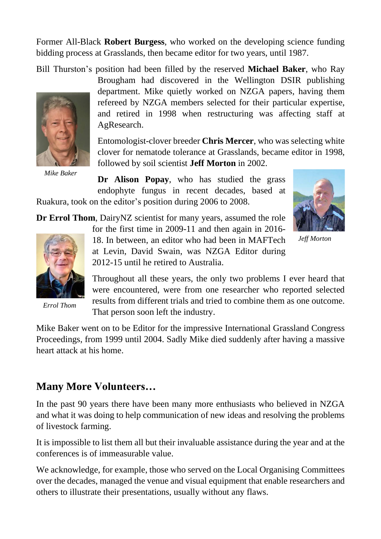Former All-Black **Robert Burgess**, who worked on the developing science funding bidding process at Grasslands, then became editor for two years, until 1987.

Bill Thurston's position had been filled by the reserved **Michael Baker**, who Ray



*Mike Baker*

Brougham had discovered in the Wellington DSIR publishing department. Mike quietly worked on NZGA papers, having them refereed by NZGA members selected for their particular expertise, and retired in 1998 when restructuring was affecting staff at AgResearch.

Entomologist-clover breeder **Chris Mercer**, who was selecting white clover for nematode tolerance at Grasslands, became editor in 1998, followed by soil scientist **Jeff Morton** in 2002.

**Dr Alison Popay**, who has studied the grass endophyte fungus in recent decades, based at





*Jeff Morton*

**Dr Errol Thom**, DairyNZ scientist for many years, assumed the role



*Errol Thom*

for the first time in 2009-11 and then again in 2016- 18. In between, an editor who had been in MAFTech at Levin, David Swain, was NZGA Editor during 2012-15 until he retired to Australia.

Throughout all these years, the only two problems I ever heard that were encountered, were from one researcher who reported selected results from different trials and tried to combine them as one outcome. That person soon left the industry.

Mike Baker went on to be Editor for the impressive International Grassland Congress Proceedings, from 1999 until 2004. Sadly Mike died suddenly after having a massive heart attack at his home.

### **Many More Volunteers…**

In the past 90 years there have been many more enthusiasts who believed in NZGA and what it was doing to help communication of new ideas and resolving the problems of livestock farming.

It is impossible to list them all but their invaluable assistance during the year and at the conferences is of immeasurable value.

We acknowledge, for example, those who served on the Local Organising Committees over the decades, managed the venue and visual equipment that enable researchers and others to illustrate their presentations, usually without any flaws.